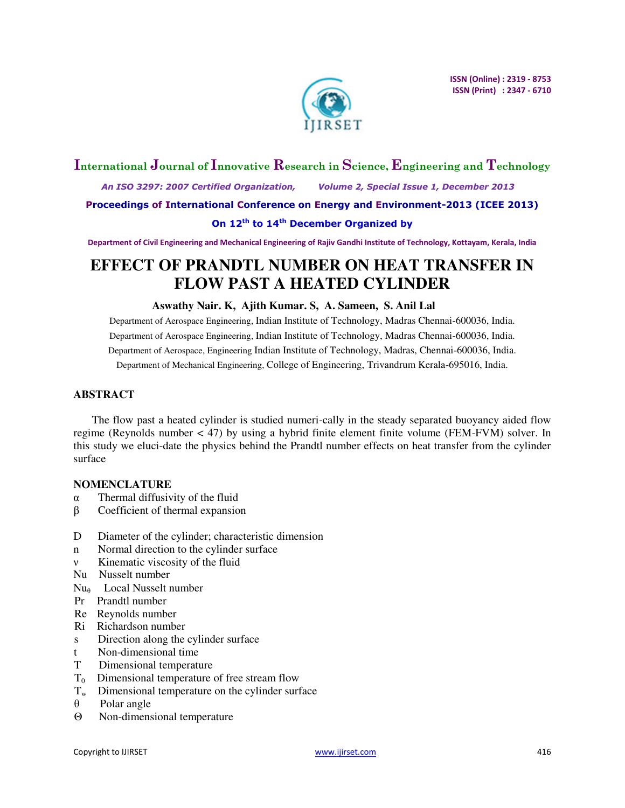

## **International Journal of Innovative Research in Science, Engineering and Technology**

 *An ISO 3297: 2007 Certified Organization, Volume 2, Special Issue 1, December 2013* 

**Proceedings of International Conference on Energy and Environment-2013 (ICEE 2013)** 

## **On 12th to 14th December Organized by**

**Department of Civil Engineering and Mechanical Engineering of Rajiv Gandhi Institute of Technology, Kottayam, Kerala, India** 

# **EFFECT OF PRANDTL NUMBER ON HEAT TRANSFER IN FLOW PAST A HEATED CYLINDER**

### **Aswathy Nair. K, Ajith Kumar. S, A. Sameen, S. Anil Lal**

Department of Aerospace Engineering, Indian Institute of Technology, Madras Chennai-600036, India. Department of Aerospace Engineering, Indian Institute of Technology, Madras Chennai-600036, India. Department of Aerospace, Engineering Indian Institute of Technology, Madras, Chennai-600036, India. Department of Mechanical Engineering, College of Engineering, Trivandrum Kerala-695016, India.

## **ABSTRACT**

The flow past a heated cylinder is studied numeri-cally in the steady separated buoyancy aided flow regime (Reynolds number < 47) by using a hybrid finite element finite volume (FEM-FVM) solver. In this study we eluci-date the physics behind the Prandtl number effects on heat transfer from the cylinder surface

## **NOMENCLATURE**

- α Thermal diffusivity of the fluid
- β Coefficient of thermal expansion
- D Diameter of the cylinder; characteristic dimension
- n Normal direction to the cylinder surface
- ν Kinematic viscosity of the fluid
- Nu Nusselt number
- Nu<sub>e</sub> Local Nusselt number
- Pr Prandtl number
- Re Reynolds number
- Ri Richardson number
- s Direction along the cylinder surface
- t Non-dimensional time
- T Dimensional temperature
- $T_0$  Dimensional temperature of free stream flow
- $T_w$  Dimensional temperature on the cylinder surface
- θ Polar angle
- Θ Non-dimensional temperature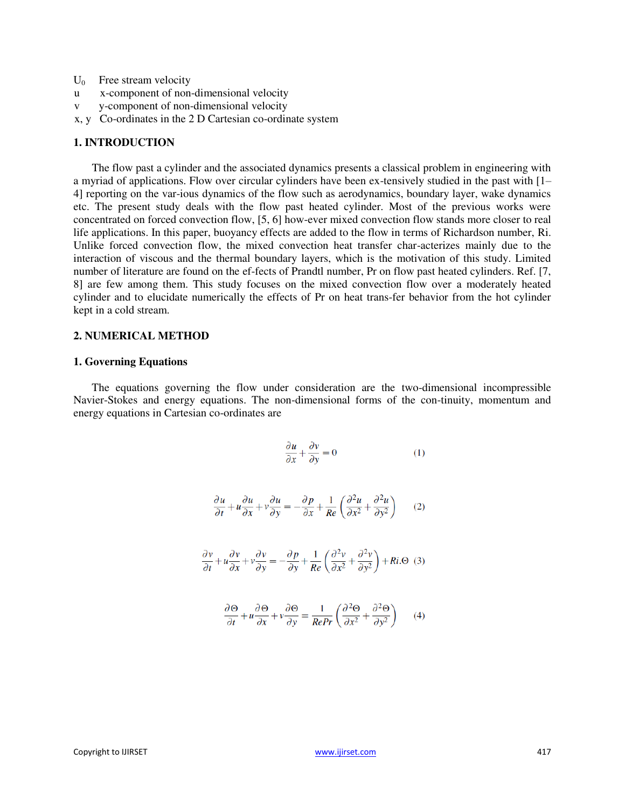- $U_0$  Free stream velocity
- u x-component of non-dimensional velocity
- v y-component of non-dimensional velocity
- x, y Co-ordinates in the 2 D Cartesian co-ordinate system

### **1. INTRODUCTION**

The flow past a cylinder and the associated dynamics presents a classical problem in engineering with a myriad of applications. Flow over circular cylinders have been ex-tensively studied in the past with [1– 4] reporting on the var-ious dynamics of the flow such as aerodynamics, boundary layer, wake dynamics etc. The present study deals with the flow past heated cylinder. Most of the previous works were concentrated on forced convection flow, [5, 6] how-ever mixed convection flow stands more closer to real life applications. In this paper, buoyancy effects are added to the flow in terms of Richardson number, Ri. Unlike forced convection flow, the mixed convection heat transfer char-acterizes mainly due to the interaction of viscous and the thermal boundary layers, which is the motivation of this study. Limited number of literature are found on the ef-fects of Prandtl number, Pr on flow past heated cylinders. Ref. [7, 8] are few among them. This study focuses on the mixed convection flow over a moderately heated cylinder and to elucidate numerically the effects of Pr on heat trans-fer behavior from the hot cylinder kept in a cold stream.

### **2. NUMERICAL METHOD**

#### **1. Governing Equations**

The equations governing the flow under consideration are the two-dimensional incompressible Navier-Stokes and energy equations. The non-dimensional forms of the con-tinuity, momentum and energy equations in Cartesian co-ordinates are

$$
\frac{\partial u}{\partial x} + \frac{\partial v}{\partial y} = 0 \tag{1}
$$

$$
\frac{\partial u}{\partial t} + u \frac{\partial u}{\partial x} + v \frac{\partial u}{\partial y} = -\frac{\partial p}{\partial x} + \frac{1}{Re} \left( \frac{\partial^2 u}{\partial x^2} + \frac{\partial^2 u}{\partial y^2} \right) \tag{2}
$$

$$
\frac{\partial v}{\partial t} + u \frac{\partial v}{\partial x} + v \frac{\partial v}{\partial y} = -\frac{\partial p}{\partial y} + \frac{1}{Re} \left( \frac{\partial^2 v}{\partial x^2} + \frac{\partial^2 v}{\partial y^2} \right) + Ri. \Theta \quad (3)
$$

$$
\frac{\partial \Theta}{\partial t} + u \frac{\partial \Theta}{\partial x} + v \frac{\partial \Theta}{\partial y} = \frac{1}{RePr} \left( \frac{\partial^2 \Theta}{\partial x^2} + \frac{\partial^2 \Theta}{\partial y^2} \right) \tag{4}
$$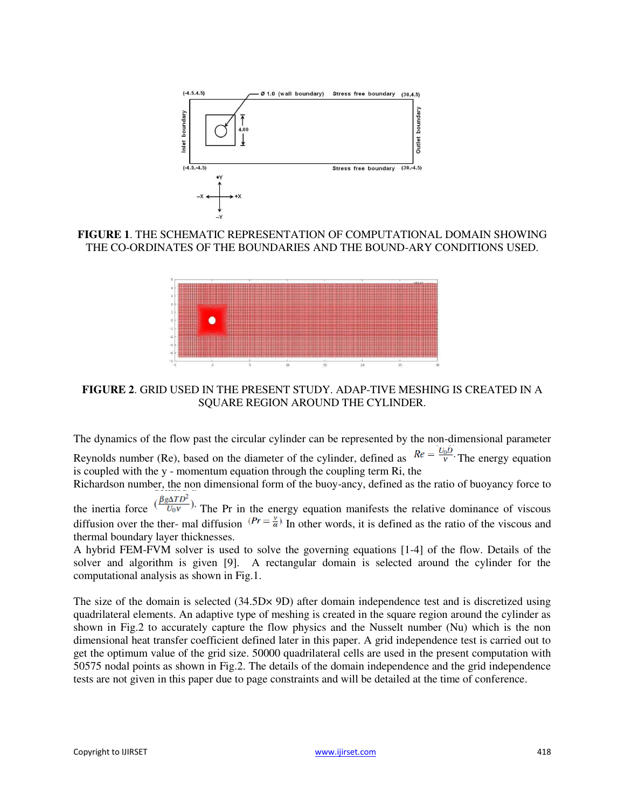

**FIGURE 1**. THE SCHEMATIC REPRESENTATION OF COMPUTATIONAL DOMAIN SHOWING THE CO-ORDINATES OF THE BOUNDARIES AND THE BOUND-ARY CONDITIONS USED.



**FIGURE 2**. GRID USED IN THE PRESENT STUDY. ADAP-TIVE MESHING IS CREATED IN A SQUARE REGION AROUND THE CYLINDER.

The dynamics of the flow past the circular cylinder can be represented by the non-dimensional parameter

Reynolds number (Re), based on the diameter of the cylinder, defined as  $Re = \frac{U_0 D}{V}$ . The energy equation is coupled with the y - momentum equation through the coupling term Ri, the

Richardson number, the non dimensional form of the buoy-ancy, defined as the ratio of buoyancy force to

the inertia force  $(\frac{\beta g\Delta TD^2}{U_0 v})$ . The Pr in the energy equation manifests the relative dominance of viscous diffusion over the ther- mal diffusion  $(Pr = \frac{v}{\alpha})$ . In other words, it is defined as the ratio of the viscous and thermal boundary layer thicknesses.

A hybrid FEM-FVM solver is used to solve the governing equations [1-4] of the flow. Details of the solver and algorithm is given [9]. A rectangular domain is selected around the cylinder for the computational analysis as shown in Fig.1.

The size of the domain is selected (34.5D $\times$  9D) after domain independence test and is discretized using quadrilateral elements. An adaptive type of meshing is created in the square region around the cylinder as shown in Fig.2 to accurately capture the flow physics and the Nusselt number (Nu) which is the non dimensional heat transfer coefficient defined later in this paper. A grid independence test is carried out to get the optimum value of the grid size. 50000 quadrilateral cells are used in the present computation with 50575 nodal points as shown in Fig.2. The details of the domain independence and the grid independence tests are not given in this paper due to page constraints and will be detailed at the time of conference.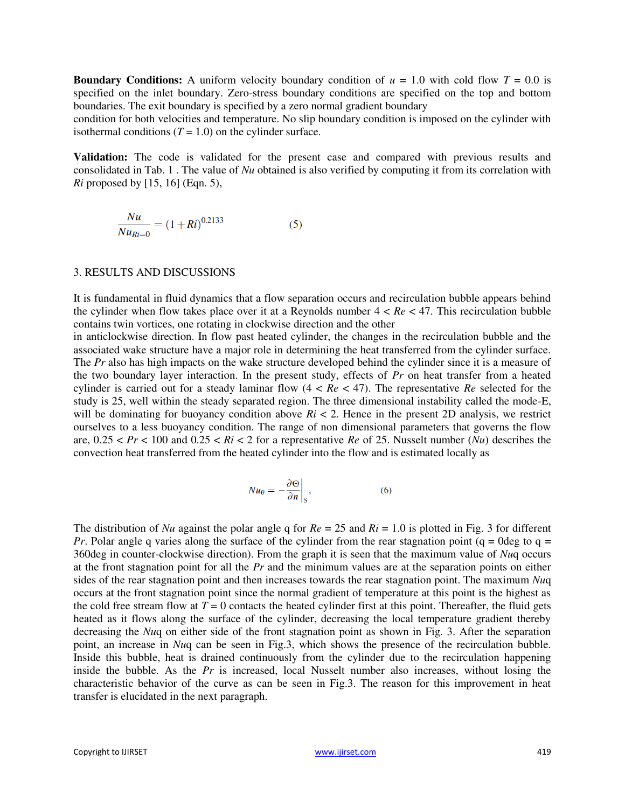**Boundary Conditions:** A uniform velocity boundary condition of  $u = 1.0$  with cold flow  $T = 0.0$  is specified on the inlet boundary. Zero-stress boundary conditions are specified on the top and bottom boundaries. The exit boundary is specified by a zero normal gradient boundary

condition for both velocities and temperature. No slip boundary condition is imposed on the cylinder with isothermal conditions  $(T = 1.0)$  on the cylinder surface.

**Validation:** The code is validated for the present case and compared with previous results and consolidated in Tab. 1 . The value of *Nu* obtained is also verified by computing it from its correlation with *Ri* proposed by [15, 16] (Eqn. 5),

$$
\frac{Nu}{Nu_{Ri=0}} = (1+Ri)^{0.2133}
$$
 (5)

#### 3. RESULTS AND DISCUSSIONS

It is fundamental in fluid dynamics that a flow separation occurs and recirculation bubble appears behind the cylinder when flow takes place over it at a Reynolds number  $4 < Re < 47$ . This recirculation bubble contains twin vortices, one rotating in clockwise direction and the other

in anticlockwise direction. In flow past heated cylinder, the changes in the recirculation bubble and the associated wake structure have a major role in determining the heat transferred from the cylinder surface. The *Pr* also has high impacts on the wake structure developed behind the cylinder since it is a measure of the two boundary layer interaction. In the present study, effects of *Pr* on heat transfer from a heated cylinder is carried out for a steady laminar flow  $(4 < Re < 47)$ . The representative *Re* selected for the study is 25, well within the steady separated region. The three dimensional instability called the mode-E, will be dominating for buoyancy condition above  $Ri < 2$ . Hence in the present 2D analysis, we restrict ourselves to a less buoyancy condition. The range of non dimensional parameters that governs the flow are,  $0.25 < Pr < 100$  and  $0.25 < Ri < 2$  for a representative *Re* of 25. Nusselt number (*Nu*) describes the convection heat transferred from the heated cylinder into the flow and is estimated locally as

$$
Nu_{\theta} = -\frac{\partial \Theta}{\partial n}\bigg|_{S},\tag{6}
$$

The distribution of *Nu* against the polar angle q for  $Re = 25$  and  $Ri = 1.0$  is plotted in Fig. 3 for different *Pr*. Polar angle q varies along the surface of the cylinder from the rear stagnation point ( $q = 0$ deg to  $q =$ 360deg in counter-clockwise direction). From the graph it is seen that the maximum value of *Nu*q occurs at the front stagnation point for all the *Pr* and the minimum values are at the separation points on either sides of the rear stagnation point and then increases towards the rear stagnation point. The maximum *Nu*q occurs at the front stagnation point since the normal gradient of temperature at this point is the highest as the cold free stream flow at  $T = 0$  contacts the heated cylinder first at this point. Thereafter, the fluid gets heated as it flows along the surface of the cylinder, decreasing the local temperature gradient thereby decreasing the *Nuc* on either side of the front stagnation point as shown in Fig. 3. After the separation point, an increase in *Nu*q can be seen in Fig.3, which shows the presence of the recirculation bubble. Inside this bubble, heat is drained continuously from the cylinder due to the recirculation happening inside the bubble. As the *Pr* is increased, local Nusselt number also increases, without losing the characteristic behavior of the curve as can be seen in Fig.3. The reason for this improvement in heat transfer is elucidated in the next paragraph.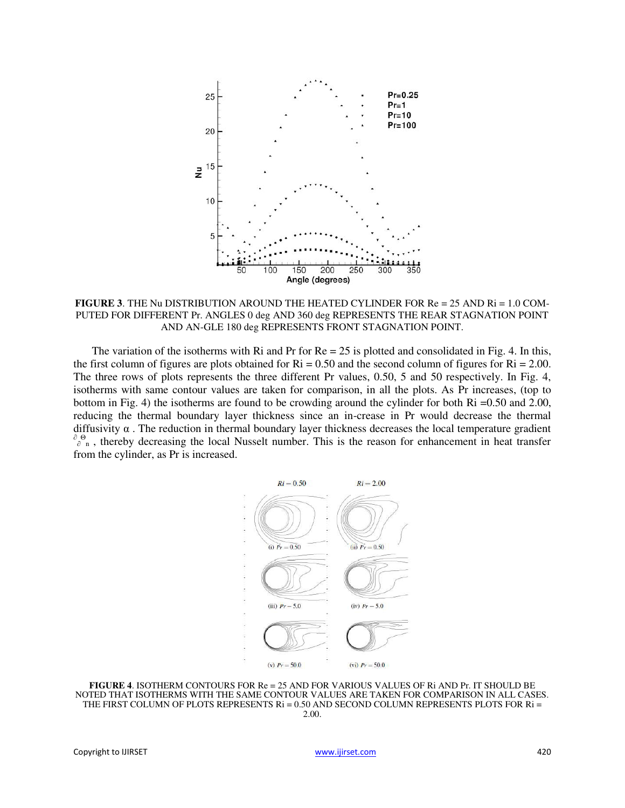

**FIGURE 3**. THE Nu DISTRIBUTION AROUND THE HEATED CYLINDER FOR Re = 25 AND Ri = 1.0 COM-PUTED FOR DIFFERENT Pr. ANGLES 0 deg AND 360 deg REPRESENTS THE REAR STAGNATION POINT AND AN-GLE 180 deg REPRESENTS FRONT STAGNATION POINT.

The variation of the isotherms with Ri and Pr for  $Re = 25$  is plotted and consolidated in Fig. 4. In this, the first column of figures are plots obtained for  $\text{Ri} = 0.50$  and the second column of figures for  $\text{Ri} = 2.00$ . The three rows of plots represents the three different Pr values, 0.50, 5 and 50 respectively. In Fig. 4, isotherms with same contour values are taken for comparison, in all the plots. As Pr increases, (top to bottom in Fig. 4) the isotherms are found to be crowding around the cylinder for both Ri =0.50 and 2.00, reducing the thermal boundary layer thickness since an in-crease in Pr would decrease the thermal diffusivity  $\alpha$ . The reduction in thermal boundary layer thickness decreases the local temperature gradient  $\partial_{\rho}^{\Theta}$  , thereby decreasing the local Nusselt number. This is the reason for enhancement in heat transfer from the cylinder, as Pr is increased.



**FIGURE 4**. ISOTHERM CONTOURS FOR Re = 25 AND FOR VARIOUS VALUES OF Ri AND Pr. IT SHOULD BE NOTED THAT ISOTHERMS WITH THE SAME CONTOUR VALUES ARE TAKEN FOR COMPARISON IN ALL CASES. THE FIRST COLUMN OF PLOTS REPRESENTS Ri = 0.50 AND SECOND COLUMN REPRESENTS PLOTS FOR Ri = 2.00.